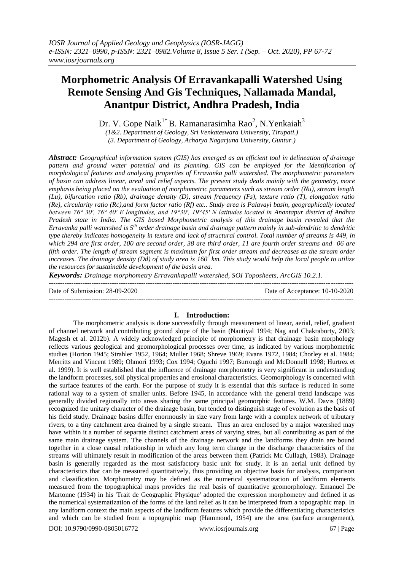# **Morphometric Analysis Of Erravankapalli Watershed Using Remote Sensing And Gis Techniques, Nallamada Mandal, Anantpur District, Andhra Pradesh, India**

Dr. V. Gope Naik $^{1*}$ B. Ramanarasimha Rao<sup>2</sup>, N.Yenkaiah<sup>3</sup>

*(1&2. Department of Geology, Sri Venkateswara University, Tirupati.)*

*(3. Department of Geology, Acharya Nagarjuna University, Guntur.)*

*Abstract: Geographical information system (GIS) has emerged as an efficient tool in delineation of drainage pattern and ground water potential and its planning. GIS can be employed for the identification of morphological features and analyzing properties of Erravanka palli watershed. The morphometric parameters of basin can address linear, areal and relief aspects. The present study deals mainly with the geometry, more emphasis being placed on the evaluation of morphometric parameters such as stream order (Nu), stream length (Lu), bifurcation ratio (Rb), drainage density (D), stream frequency (Fs), texture ratio (T), elongation ratio (Re), circularity ratio (Rc),and form factor ratio (Rf) etc.. Study area is Palavayi basin, geographically located between 76° 30′, 76° 40′ E longitudes, and 19°30′, 19°45′ N latitudes located in Anantapur district of Andhra Pradesh state in India. The GIS based Morphometric analysis of this drainage basin revealed that the Erravanka palli watershed is 5th order drainage basin and drainage pattern mainly in sub-dendritic to dendritic type thereby indicates homogeneity in texture and lack of structural control. Total number of streams is 449, in which 294 are first order, 100 are second order, 38 are third order, 11 are fourth order streams and 06 are fifth order. The length of stream segment is maximum for first order stream and decreases as the stream order increases. The drainage density (Dd) of study area is 160<sup>2</sup> km. This study would help the local people to utilize the resources for sustainable development of the basin area.*

*Keywords: Drainage morphometry Erravankapalli watershed, SOI Toposheets, ArcGIS 10.2.1.*

Date of Submission: 28-09-2020 Date of Acceptance: 10-10-2020 ---------------------------------------------------------------------------------------------------------------------------------------

## **I. Introduction:**

---------------------------------------------------------------------------------------------------------------------------------------

The morphometric analysis is done successfully through measurement of linear, aerial, relief, gradient of channel network and contributing ground slope of the basin (Nautiyal 1994; Nag and Chakraborty, 2003; Magesh et al. 2012b). A widely acknowledged principle of morphometry is that drainage basin morphology reflects various geological and geomorphological processes over time, as indicated by various morphometric studies (Horton 1945; Strahler 1952, 1964; Muller 1968; Shreve 1969; Evans 1972, 1984; Chorley et al. 1984; Merritts and Vincent 1989; Ohmori 1993; Cox 1994; Oguchi 1997; Burrough and McDonnell 1998; Hurtrez et al. 1999). It is well established that the influence of drainage morphometry is very significant in understanding the landform processes, soil physical properties and erosional characteristics. Geomorphology is concerned with the surface features of the earth. For the purpose of study it is essential that this surface is reduced in some rational way to a system of smaller units. Before 1945, in accordance with the general trend landscape was generally divided regionally into areas sharing the same principal geomorphic features. W.M. Davis (1889) recognized the unitary character of the drainage basin, but tended to distinguish stage of evolution as the basis of his field study. Drainage basins differ enormously in size vary from large with a complex network of tributary rivers, to a tiny catchment area drained by a single stream. Thus an area enclosed by a major watershed may have within it a number of separate distinct catchment areas of varying sizes, but all contributing as part of the same main drainage system. The channels of the drainage network and the landforms they drain are bound together in a close causal relationship in which any long term change in the discharge characteristics of the streams will ultimately result in modification of the areas between them (Patrick Mc Cullagh, 1983). Drainage basin is generally regarded as the most satisfactory basic unit for study. It is an aerial unit defined by characteristics that can be measured quantitatively, thus providing an objective basis for analysis, comparison and classification. Morphometry may be defined as the numerical systematization of landform elements measured from the topographical maps provides the real basis of quantitative geomorphology. Emanuel De Martonne (1934) in his 'Trait de Geographic Physique' adopted the expression morphometry and defined it as the numerical systematization of the forms of the land relief as it can be interpreted from a topographic map. In any landform context the main aspects of the landform features which provide the differentiating characteristics and which can be studied from a topographic map (Hammond, 1954) are the area (surface arrangement),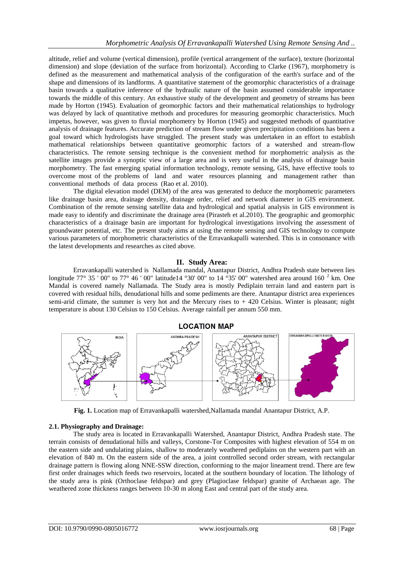altitude, relief and volume (vertical dimension), profile (vertical arrangement of the surface), texture (horizontal dimension) and slope (deviation of the surface from horizontal). According to Clarke (1967), morphometry is defined as the measurement and mathematical analysis of the configuration of the earth's surface and of the shape and dimensions of its landforms. A quantitative statement of the geomorphic characteristics of a drainage basin towards a qualitative inference of the hydraulic nature of the basin assumed considerable importance towards the middle of this century. An exhaustive study of the development and geometry of streams has been made by Horton (1945). Evaluation of geomorphic factors and their mathematical relationships to hydrology was delayed by lack of quantitative methods and procedures for measuring geomorphic characteristics. Much impetus, however, was given to fluvial morphometry by Horton (1945) and suggested methods of quantitative analysis of drainage features. Accurate prediction of stream flow under given precipitation conditions has been a goal toward which hydrologists have struggled. The present study was undertaken in an effort to establish mathematical relationships between quantitative geomorphic factors of a watershed and stream-flow characteristics. The remote sensing technique is the convenient method for morphometric analysis as the satellite images provide a synoptic view of a large area and is very useful in the analysis of drainage basin morphometry. The fast emerging spatial information technology, remote sensing, GIS, have effective tools to overcome most of the problems of land and water resources planning and management rather than conventional methods of data process (Rao et al. 2010).

The digital elevation model (DEM) of the area was generated to deduce the morphometric parameters like drainage basin area, drainage density, drainage order, relief and network diameter in GIS environment. Combination of the remote sensing satellite data and hydrological and spatial analysis in GIS environment is made easy to identify and discriminate the drainage area (Pirasteh et al.2010). The geographic and geomorphic characteristics of a drainage basin are important for hydrological investigations involving the assessment of groundwater potential, etc. The present study aims at using the remote sensing and GIS technology to compute various parameters of morphometric characteristics of the Erravankapalli watershed. This is in consonance with the latest developments and researches as cited above.

## **II. Study Area:**

Erravankapalli watershed is Nallamada mandal, Anantapur District, Andhra Pradesh state between lies longitude 77° 35 ' 00" to 77° 46 ' 00" latitude14 ° 30' 00" to 14 ° 35' 00" watershed area around 160  $^2$  km. One Mandal is covered namely Nallamada. The Study area is mostly Pediplain terrain land and eastern part is covered with residual hills, denudational hills and some pediments are there. Anantapur district area experiences semi-arid climate, the summer is very hot and the Mercury rises to + 420 Celsius. Winter is pleasant; night temperature is about 130 Celsius to 150 Celsius. Average rainfall per annum 550 mm.

## **LOCATION MAP**



**Fig. 1.** Location map of Erravankapalli watershed,Nallamada mandal Anantapur District, A.P.

## **2.1. Physiography and Drainage:**

The study area is located in Erravankapalli Watershed, Anantapur District, Andhra Pradesh state. The terrain consists of denudational hills and valleys, Corstone-Tor Composites with highest elevation of 554 m on the eastern side and undulating plains, shallow to moderately weathered pediplains on the western part with an elevation of 840 m. On the eastern side of the area, a joint controlled second order stream, with rectangular drainage pattern is flowing along NNE-SSW direction, conforming to the major lineament trend. There are few first order drainages which feeds two reservoirs, located at the southern boundary of location. The lithology of the study area is pink (Orthoclase feldspar) and grey (Plagioclase feldspar) granite of Archaean age. The weathered zone thickness ranges between 10-30 m along East and central part of the study area.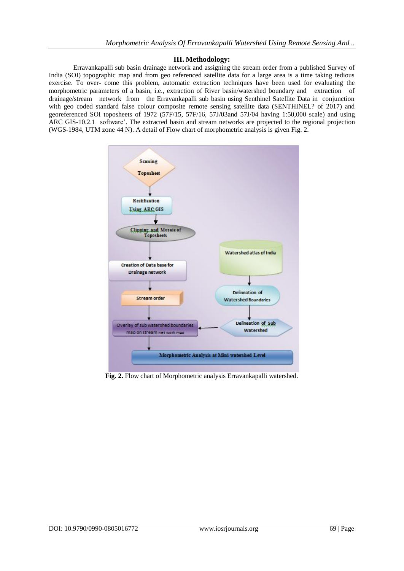## **III. Methodology:**

Erravankapalli sub basin drainage network and assigning the stream order from a published Survey of India (SOI) topographic map and from geo referenced satellite data for a large area is a time taking tedious exercise. To over- come this problem, automatic extraction techniques have been used for evaluating the morphometric parameters of a basin, i.e., extraction of River basin/watershed boundary and extraction of drainage/stream network from the Erravankapalli sub basin using Senthinel Satellite Data in conjunction with geo coded standard false colour composite remote sensing satellite data (SENTHINEL? of 2017) and georeferenced SOI toposheets of 1972 (57F/15, 57F/16, 57J/03and 57J/04 having 1:50,000 scale) and using ARC GIS-10.2.1 software'. The extracted basin and stream networks are projected to the regional projection (WGS-1984, UTM zone 44 N). A detail of Flow chart of morphometric analysis is given Fig. 2.



**Fig. 2.** Flow chart of Morphometric analysis Erravankapalli watershed.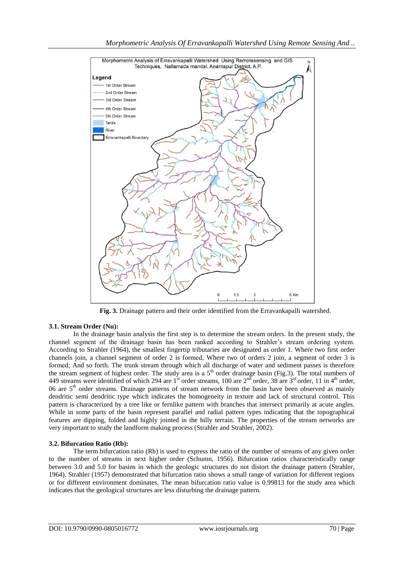

 **Fig. 3.** Drainage pattern and their order identified from the Erravankapalli watershed.

# **3.1. Stream Order (Nu):**

In the drainage basin analysis the first step is to determine the stream orders. In the present study, the channel segment of the drainage basin has been ranked according to Strahler's stream ordering system. According to Strahler (1964), the smallest fingertip tributaries are designated as order 1. Where two first order channels join, a channel segment of order 2 is formed; Where two of orders 2 join, a segment of order 3 is formed; And so forth. The trunk stream through which all discharge of water and sediment passes is therefore the stream segment of highest order. The study area is a  $5<sup>th</sup>$  order drainage basin (Fig.3). The total numbers of 449 streams were identified of which 294 are  $1^{\text{st}}$  order streams, 100 are  $2^{\text{nd}}$  order, 38 are  $3^{\text{rd}}$  order, 11 in 4<sup>th</sup> order, 06 are  $5<sup>th</sup>$  order streams. Drainage patterns of stream network from the basin have been observed as mainly dendritic semi dendritic type which indicates the homogeneity in texture and lack of structural control. This pattern is characterized by a tree like or fernlike pattern with branches that intersect primarily at acute angles. While in some parts of the basin represent parallel and radial pattern types indicating that the topographical features are dipping, folded and highly jointed in the hilly terrain. The properties of the stream networks are very important to study the landform making process (Strahler and Strahler, 2002).

# **3.2. Bifurcation Ratio (Rb):**

The term bifurcation ratio (Rb) is used to express the ratio of the number of streams of any given order to the number of streams in next higher order (Schumn, 1956). Bifurcation ratios characteristically range between 3.0 and 5.0 for basins in which the geologic structures do not distort the drainage pattern (Strahler, 1964). Strahler (1957) demonstrated that bifurcation ratio shows a small range of variation for different regions or for different environment dominates. The mean bifurcation ratio value is 0.99813 for the study area which indicates that the geological structures are less disturbing the drainage pattern.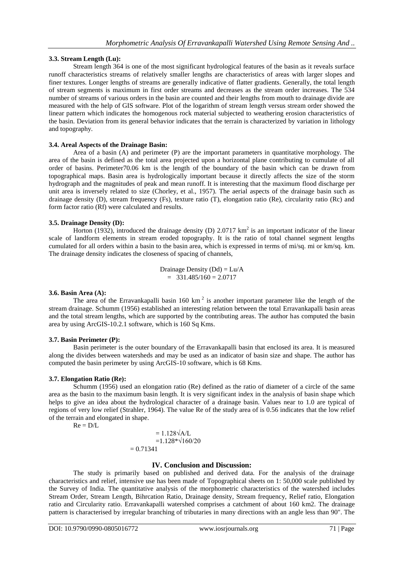## **3.3. Stream Length (Lu):**

Stream length 364 is one of the most significant hydrological features of the basin as it reveals surface runoff characteristics streams of relatively smaller lengths are characteristics of areas with larger slopes and finer textures. Longer lengths of streams are generally indicative of flatter gradients. Generally, the total length of stream segments is maximum in first order streams and decreases as the stream order increases. The 534 number of streams of various orders in the basin are counted and their lengths from mouth to drainage divide are measured with the help of GIS software. Plot of the logarithm of stream length versus stream order showed the linear pattern which indicates the homogenous rock material subjected to weathering erosion characteristics of the basin. Deviation from its general behavior indicates that the terrain is characterized by variation in lithology and topography.

## **3.4. Areal Aspects of the Drainage Basin:**

Area of a basin (A) and perimeter (P) are the important parameters in quantitative morphology. The area of the basin is defined as the total area projected upon a horizontal plane contributing to cumulate of all order of basins. Perimeter70.06 km is the length of the boundary of the basin which can be drawn from topographical maps. Basin area is hydrologically important because it directly affects the size of the storm hydrograph and the magnitudes of peak and mean runoff. It is interesting that the maximum flood discharge per unit area is inversely related to size (Chorley, et al., 1957). The aerial aspects of the drainage basin such as drainage density (D), stream frequency (Fs), texture ratio (T), elongation ratio (Re), circularity ratio (Rc) and form factor ratio (Rf) were calculated and results.

### **3.5. Drainage Density (D):**

Horton (1932), introduced the drainage density (D)  $2.0717 \text{ km}^2$  is an important indicator of the linear scale of landform elements in stream eroded topography. It is the ratio of total channel segment lengths cumulated for all orders within a basin to the basin area, which is expressed in terms of mi/sq. mi or km/sq. km. The drainage density indicates the closeness of spacing of channels,

> Drainage Density (Dd) = Lu/A  $= 331.485/160 = 2.0717$

### **3.6. Basin Area (A):**

The area of the Erravankapalli basin  $160 \text{ km}^2$  is another important parameter like the length of the stream drainage. Schumm (1956) established an interesting relation between the total Erravankapalli basin areas and the total stream lengths, which are supported by the contributing areas. The author has computed the basin area by using ArcGIS-10.2.1 software, which is 160 Sq Kms.

### **3.7. Basin Perimeter (P):**

Basin perimeter is the outer boundary of the Erravankapalli basin that enclosed its area. It is measured along the divides between watersheds and may be used as an indicator of basin size and shape. The author has computed the basin perimeter by using ArcGIS-10 software, which is 68 Kms.

### **3.7. Elongation Ratio (Re):**

Schumm (1956) used an elongation ratio (Re) defined as the ratio of diameter of a circle of the same area as the basin to the maximum basin length. It is very significant index in the analysis of basin shape which helps to give an idea about the hydrological character of a drainage basin. Values near to 1.0 are typical of regions of very low relief (Strahler, 1964). The value Re of the study area of is 0.56 indicates that the low relief of the terrain and elongated in shape.

 $Re = D/L$ 

$$
= 1.128 \sqrt{A/L}
$$
  
= 1.128<sup>\*</sup> $\sqrt{160/20}$   
= 0.71341

## **IV. Conclusion and Discussion:**

The study is primarily based on published and derived data. For the analysis of the drainage characteristics and relief, intensive use has been made of Topographical sheets on 1: 50,000 scale published by the Survey of India. The quantitative analysis of the morphometric characteristics of the watershed includes Stream Order, Stream Length, Bihrcation Ratio, Drainage density, Stream frequency, Relief ratio, Elongation ratio and Circularity ratio. Erravankapalli watershed comprises a catchment of about 160 km2. The drainage pattern is characterised by irregular branching of tributaries in many directions with an angle less than 90". The